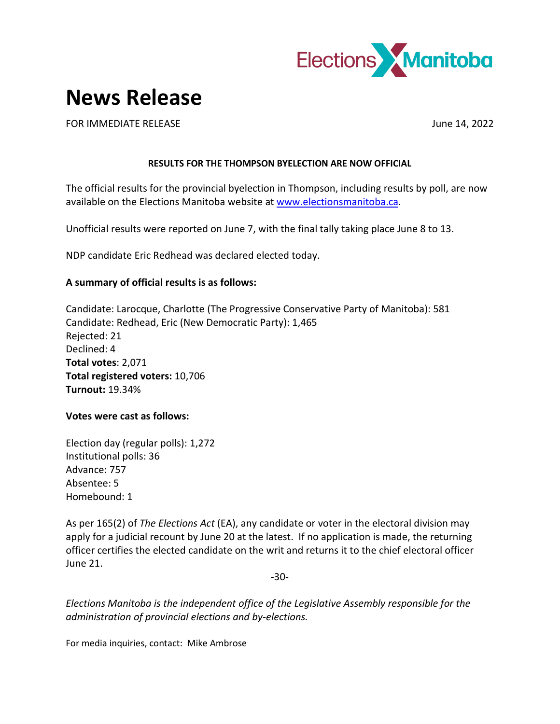

## **News Release**

FOR IMMEDIATE RELEASE June 14, 2022

## **RESULTS FOR THE THOMPSON BYELECTION ARE NOW OFFICIAL**

The official results for the provincial byelection in Thompson, including results by poll, are now available on the Elections Manitoba website at [www.electionsmanitoba.ca.](http://www.electionsmanitoba.ca/)

Unofficial results were reported on June 7, with the final tally taking place June 8 to 13.

NDP candidate Eric Redhead was declared elected today.

## **A summary of official results is as follows:**

Candidate: Larocque, Charlotte (The Progressive Conservative Party of Manitoba): 581 Candidate: Redhead, Eric (New Democratic Party): 1,465 Rejected: 21 Declined: 4 **Total votes**: 2,071 **Total registered voters:** 10,706 **Turnout:** 19.34%

## **Votes were cast as follows:**

Election day (regular polls): 1,272 Institutional polls: 36 Advance: 757 Absentee: 5 Homebound: 1

As per 165(2) of *The Elections Act* (EA), any candidate or voter in the electoral division may apply for a judicial recount by June 20 at the latest. If no application is made, the returning officer certifies the elected candidate on the writ and returns it to the chief electoral officer June 21.

-30-

*Elections Manitoba is the independent office of the Legislative Assembly responsible for the administration of provincial elections and by-elections.*

For media inquiries, contact: Mike Ambrose